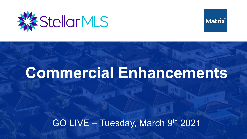



# **Commercial Enhancements**

### GO LIVE – Tuesday, March 9th 2021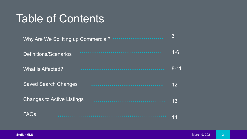## Table of Contents

| Why Are We Splitting up Commercial?<br><b></b> | 3               |
|------------------------------------------------|-----------------|
| Definitions/Scenarios                          | $4 - 6$         |
| What is Affected?                              | $8 - 11$        |
| <b>Saved Search Changes</b>                    | 12 <sup>2</sup> |
| <b>Changes to Active Listings</b><br>.         | 13              |
| FAQs                                           | 14              |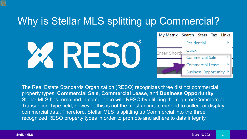## Why is Stellar MLS splitting up Commercial?





The Real Estate Standards Organization (RESO) recognizes three distinct commercial property types: **Commercial Sale**, **Commercial Lease**, and **Business Opportunity**. Stellar MLS has remained in compliance with RESO by utilizing the required Commercial Transaction Type field; however, this is not the most accurate method to collect or display commercial data. Therefore, Stellar MLS is splitting up Commercial into the three recognized RESO property types in order to promote and adhere to data integrity.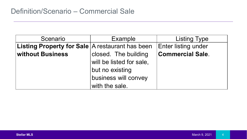| Scenario                                          | <b>Example</b>           | <b>Listing Type</b>        |
|---------------------------------------------------|--------------------------|----------------------------|
| Listing Property for Sale $A$ restaurant has been |                          | <b>Enter listing under</b> |
| <b>without Business</b>                           | closed. The building     | <b>Commercial Sale.</b>    |
|                                                   | will be listed for sale, |                            |
|                                                   | but no existing          |                            |
|                                                   | business will convey     |                            |
|                                                   | with the sale.           |                            |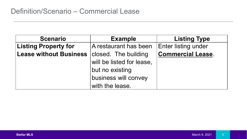| <b>Scenario</b>               | <b>Example</b>                                    | <b>Listing Type</b>        |
|-------------------------------|---------------------------------------------------|----------------------------|
| <b>Listing Property for</b>   | A restaurant has been                             | <b>Enter listing under</b> |
| <b>Lease without Business</b> | closed. The building<br>will be listed for lease, | <b>Commercial Lease.</b>   |
|                               | but no existing                                   |                            |
|                               | business will convey                              |                            |
|                               | with the lease.                                   |                            |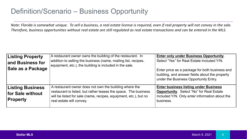#### Definition/Scenario – Business Opportunity

*Note: Florida is somewhat unique. To sell a business, a real estate license is required, even if real property will not convey in the sale. Therefore, business opportunities without real estate are still regulated as real estate transactions and can be entered in the MLS.* 

| <b>Listing Property</b><br>and Business for<br>Sale as a Package | A restaurant owner owns the building of the restaurant. In<br>addition to selling the business (name, mailing list, recipes,<br>equipment, etc.), the building is included in the sale.                                   | Enter only under Business Opportunity.<br>Select "Yes" for Real Estate Included Y/N.<br>Enter price as a package for both business and<br>building, and answer fields about the property<br>under the Business Opportunity Entry. |
|------------------------------------------------------------------|---------------------------------------------------------------------------------------------------------------------------------------------------------------------------------------------------------------------------|-----------------------------------------------------------------------------------------------------------------------------------------------------------------------------------------------------------------------------------|
| <b>Listing Business</b><br>for Sale without<br><b>Property</b>   | A restaurant owner does not own the building where the<br>restaurant is listed, but rather leases the space. The business<br>will be listed for sale (name, recipes, equipment, etc.), but no<br>real estate will convey. | <b>Enter business listing under Business</b><br><b>Opportunity.</b> Select "No" for Real Estate<br>Included Y/N. Only enter information about the<br>business.                                                                    |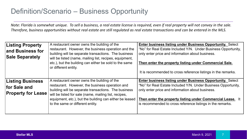#### Definition/Scenario – Business Opportunity

*Note: Florida is somewhat unique. To sell a business, a real estate license is required, even if real property will not convey in the sale. Therefore, business opportunities without real estate are still regulated as real estate transactions and can be entered in the MLS.* 

| <b>Listing Property</b><br>and Business for<br><b>Sale Separately</b> | A restaurant owner owns the building of the<br>restaurant. However, the business operation and the<br>building will be separate transactions. The business<br>will be listed (name, mailing list, recipes, equipment,<br>etc.), but the building can either be sold to the same<br>or different entity.        | <b>Enter business listing under Business Opportunity. Select</b><br>"No" for Real Estate Included Y/N. Under Business Opportunity,<br>only enter price and information about business.<br>Then enter the property listing under Commercial Sale.<br>It is recommended to cross reference listings in the remarks.  |
|-----------------------------------------------------------------------|----------------------------------------------------------------------------------------------------------------------------------------------------------------------------------------------------------------------------------------------------------------------------------------------------------------|--------------------------------------------------------------------------------------------------------------------------------------------------------------------------------------------------------------------------------------------------------------------------------------------------------------------|
| <b>Listing Business</b><br>for Sale and<br><b>Property for Lease</b>  | A restaurant owner owns the building of the<br>restaurant. However, the business operation and<br>building will be separate transactions. The business<br>will be listed for sale (name, mailing list, recipes,<br>equipment, etc.), but the building can either be leased<br>to the same or different entity. | <b>Enter business listing under Business Opportunity. Select</b><br>"No" for Real Estate Included Y/N. Under Business Opportunity,<br>only enter price and information about business.<br>Then enter the property listing under Commercial Lease. It<br>is recommended to cross reference listings in the remarks. |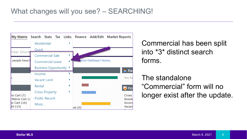

Commercial has been split into \*3\* distinct search forms.

### The standalone "Commercial" form will no longer exist after the update.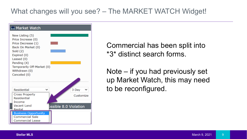### What changes will you see? – The MARKET WATCH Widget!



Commercial has been split into \*3\* distinct search forms.

Note – if you had previously set up Market Watch, this may need to be reconfigured.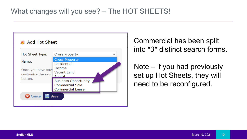

Commercial has been split into \*3\* distinct search forms.

Note – if you had previously set up Hot Sheets, they will need to be reconfigured.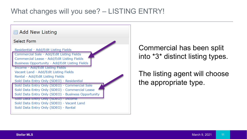#### What changes will you see? – LISTING ENTRY!



### Commercial has been split into \*3\* distinct listing types.

The listing agent will choose the appropriate type.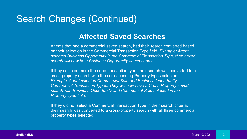### Search Changes (Continued)

#### **Affected Saved Searches**

Agents that had a commercial saved search, had their search converted based on their selection in the Commercial Transaction Type field. *Example: Agent selected Business Opportunity in the Commercial Transaction Type, their saved search will now be a Business Opportunity saved search.*

If they selected more than one transaction type, their search was converted to a cross-property search with the corresponding Property types selected. *Example: Agent selected Commercial Sale and Business Opportunity Commercial Transaction Types, They will now have a Cross-Property saved search with Business Opportunity and Commercial Sale selected in the Property Type field.*

If they did not select a Commercial Transaction Type in their search criteria, their search was converted to a cross-property search with all three commercial property types selected.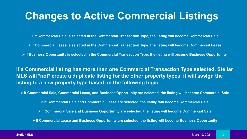## **Changes to Active Commercial Listings**

**If Commercial Sale is selected in the Commercial Transaction Type, the listing will become Commercial Sale**

- **If Commercial Lease is selected in the Commercial Transaction Type, the listing will become Commercial Lease**
- **If Business Opportunity is selected in the Commercial Transaction Type, the listing will become Business Opportunity.**

**If a Commercial listing has more than one Commercial Transaction Type selected, Stellar MLS will \*not\* create a duplicate listing for the other property types, it will assign the listing to a new property type based on the following logic:**

**If Commercial Sale, Commercial Lease, and Business Opportunity are selected, the listing will become Commercial Sale**

**If Commercial Sale and Commercial Lease are selected, the listing will become Commercial Sale**

**If Commercial Sale and Business Opportunity are selected, the listing will become Commercial Sale**

**If Commercial Lease and Business Opportunity are selected, the listing will become Business Opportunity**